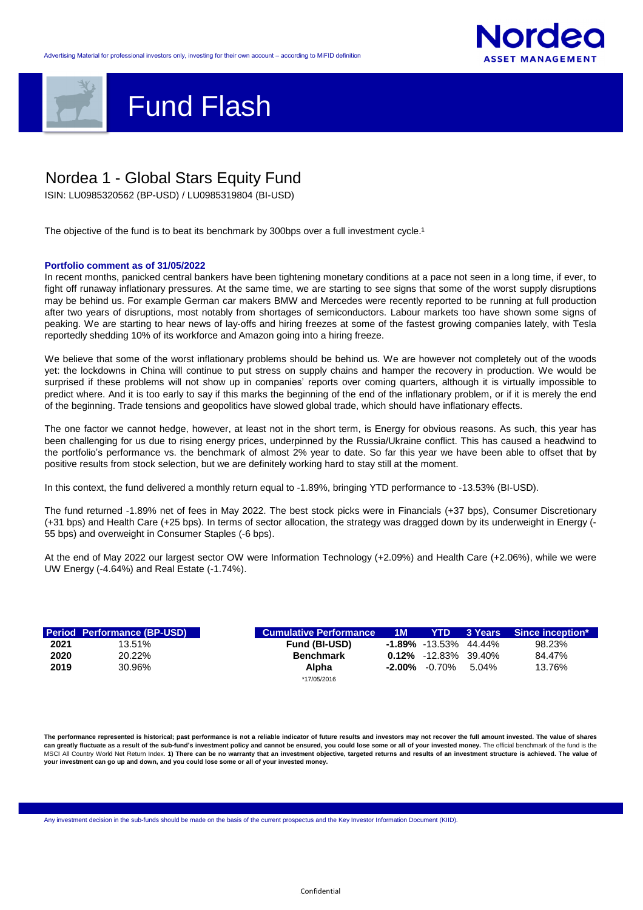



ISIN: LU0985320562 (BP-USD) / LU0985319804 (BI-USD)

The objective of the fund is to beat its benchmark by 300bps over a full investment cycle.<sup>1</sup>

## **Portfolio comment as of 31/05/2022**

|      | <b>Period Performance (BP-USD)</b> | <b>Cumulative Performance</b> | $-1M$     | <b>YTD</b>                  | 3 Years Since inception* |  |
|------|------------------------------------|-------------------------------|-----------|-----------------------------|--------------------------|--|
|      | 13.51%                             | <b>Fund (BI-USD)</b>          |           | $-1.89\% -13.53\% -44.44\%$ |                          |  |
|      | 20.22%                             | <b>Benchmark</b>              |           | $0.12\%$ -12.83% 39.40%     |                          |  |
| 2019 | 30.96%                             | Alpha                         | $-2.00\%$ | -0.70%                      | $5.04\%$                 |  |
|      |                                    | *17/05/2016                   |           |                             |                          |  |

Any investment decision in the sub-funds should be made on the basis of the current prospectus and the Key Investor Information Document (KIID).

Confidential

## Nordea 1 - Global Stars Equity Fund

The performance represented is historical; past performance is not a reliable indicator of future results and investors may not recover the full amount invested. The value of shares can greatly fluctuate as a result of the sub-fund's investment policy and cannot be ensured, you could lose some or all of your invested money. The official benchmark of the fund is the MSCI All Country World Net Return Index. 1) There can be no warranty that an investment objective, targeted returns and results of an investment structure is achieved. The value of **your investment can go up and down, and you could lose some or all of your invested money.**

In recent months, panicked central bankers have been tightening monetary conditions at a pace not seen in a long time, if ever, to fight off runaway inflationary pressures. At the same time, we are starting to see signs that some of the worst supply disruptions may be behind us. For example German car makers BMW and Mercedes were recently reported to be running at full production after two years of disruptions, most notably from shortages of semiconductors. Labour markets too have shown some signs of peaking. We are starting to hear news of lay-offs and hiring freezes at some of the fastest growing companies lately, with Tesla reportedly shedding 10% of its workforce and Amazon going into a hiring freeze.

We believe that some of the worst inflationary problems should be behind us. We are however not completely out of the woods yet: the lockdowns in China will continue to put stress on supply chains and hamper the recovery in production. We would be surprised if these problems will not show up in companies' reports over coming quarters, although it is virtually impossible to predict where. And it is too early to say if this marks the beginning of the end of the inflationary problem, or if it is merely the end of the beginning. Trade tensions and geopolitics have slowed global trade, which should have inflationary effects.

The one factor we cannot hedge, however, at least not in the short term, is Energy for obvious reasons. As such, this year has been challenging for us due to rising energy prices, underpinned by the Russia/Ukraine conflict. This has caused a headwind to the portfolio's performance vs. the benchmark of almost 2% year to date. So far this year we have been able to offset that by positive results from stock selection, but we are definitely working hard to stay still at the moment.

In this context, the fund delivered a monthly return equal to -1.89%, bringing YTD performance to -13.53% (BI-USD).

The fund returned -1.89% net of fees in May 2022. The best stock picks were in Financials (+37 bps), Consumer Discretionary (+31 bps) and Health Care (+25 bps). In terms of sector allocation, the strategy was dragged down by its underweight in Energy (- 55 bps) and overweight in Consumer Staples (-6 bps).

At the end of May 2022 our largest sector OW were Information Technology (+2.09%) and Health Care (+2.06%), while we were UW Energy (-4.64%) and Real Estate (-1.74%).